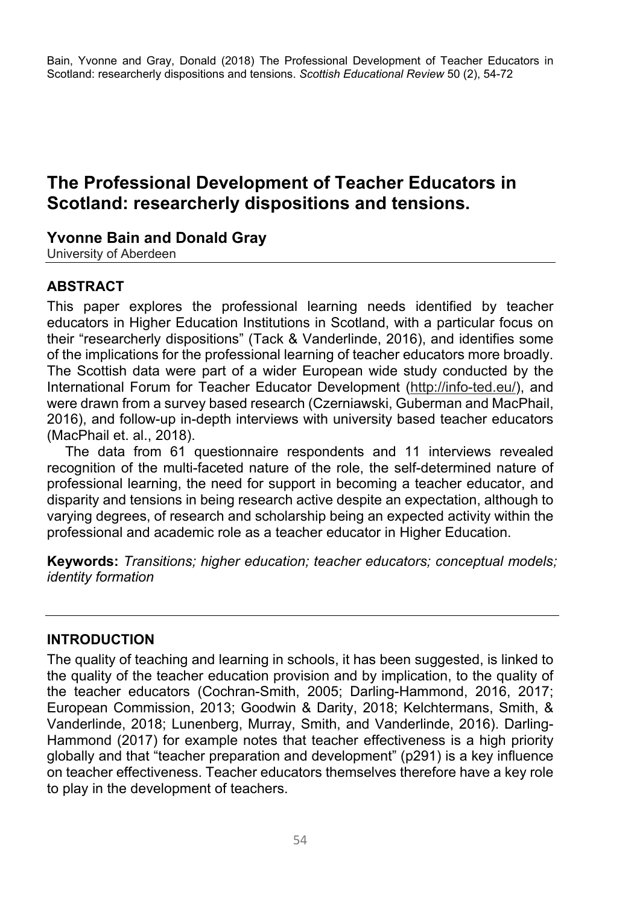Bain, Yvonne and Gray, Donald (2018) The Professional Development of Teacher Educators in Scotland: researcherly dispositions and tensions. *Scottish Educational Review* 50 (2), 54-72

# **The Professional Development of Teacher Educators in Scotland: researcherly dispositions and tensions.**

#### **Yvonne Bain and Donald Gray**

University of Aberdeen

### **ABSTRACT**

This paper explores the professional learning needs identified by teacher educators in Higher Education Institutions in Scotland, with a particular focus on their "researcherly dispositions" (Tack & Vanderlinde, 2016), and identifies some of the implications for the professional learning of teacher educators more broadly. The Scottish data were part of a wider European wide study conducted by the International Forum for Teacher Educator Development (http://info-ted.eu/), and were drawn from a survey based research (Czerniawski, Guberman and MacPhail, 2016), and follow-up in-depth interviews with university based teacher educators (MacPhail et. al., 2018).

The data from 61 questionnaire respondents and 11 interviews revealed recognition of the multi-faceted nature of the role, the self-determined nature of professional learning, the need for support in becoming a teacher educator, and disparity and tensions in being research active despite an expectation, although to varying degrees, of research and scholarship being an expected activity within the professional and academic role as a teacher educator in Higher Education.

**Keywords:** *Transitions; higher education; teacher educators; conceptual models; identity formation* 

#### **INTRODUCTION**

The quality of teaching and learning in schools, it has been suggested, is linked to the quality of the teacher education provision and by implication, to the quality of the teacher educators (Cochran-Smith, 2005; Darling-Hammond, 2016, 2017; European Commission, 2013; Goodwin & Darity, 2018; Kelchtermans, Smith, & Vanderlinde, 2018; Lunenberg, Murray, Smith, and Vanderlinde, 2016). Darling-Hammond (2017) for example notes that teacher effectiveness is a high priority globally and that "teacher preparation and development" (p291) is a key influence on teacher effectiveness. Teacher educators themselves therefore have a key role to play in the development of teachers.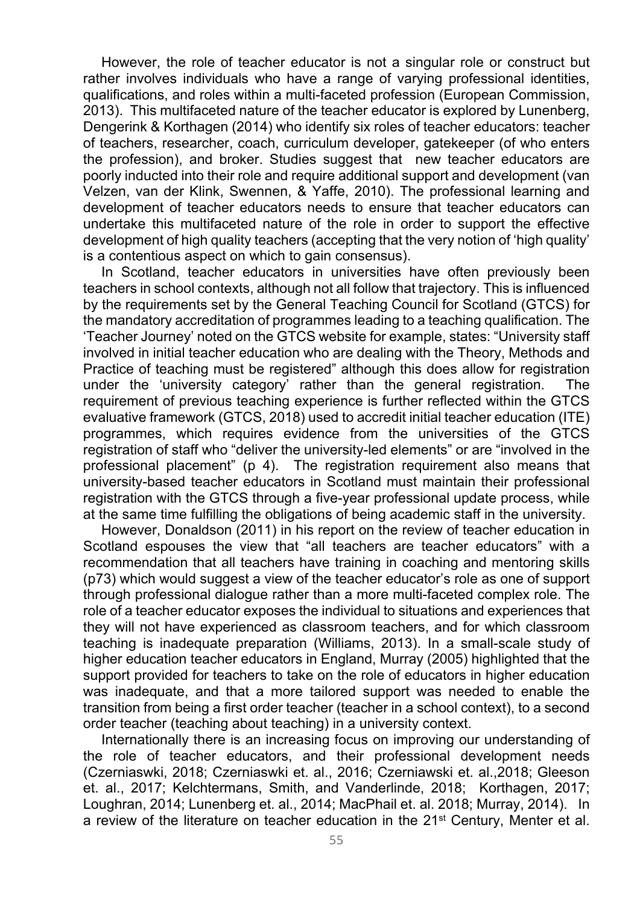However, the role of teacher educator is not a singular role or construct but rather involves individuals who have a range of varying professional identities, qualifications, and roles within a multi-faceted profession (European Commission, 2013). This multifaceted nature of the teacher educator is explored by Lunenberg, Dengerink & Korthagen (2014) who identify six roles of teacher educators: teacher of teachers, researcher, coach, curriculum developer, gatekeeper (of who enters the profession), and broker. Studies suggest that new teacher educators are poorly inducted into their role and require additional support and development (van Velzen, van der Klink, Swennen, & Yaffe, 2010). The professional learning and development of teacher educators needs to ensure that teacher educators can undertake this multifaceted nature of the role in order to support the effective development of high quality teachers (accepting that the very notion of 'high quality' is a contentious aspect on which to gain consensus).

In Scotland, teacher educators in universities have often previously been teachers in school contexts, although not all follow that trajectory. This is influenced by the requirements set by the General Teaching Council for Scotland (GTCS) for the mandatory accreditation of programmes leading to a teaching qualification. The 'Teacher Journey' noted on the GTCS website for example, states: "University staff involved in initial teacher education who are dealing with the Theory, Methods and Practice of teaching must be registered" although this does allow for registration under the 'university category' rather than the general registration. The requirement of previous teaching experience is further reflected within the GTCS evaluative framework (GTCS, 2018) used to accredit initial teacher education (ITE) programmes, which requires evidence from the universities of the GTCS registration of staff who "deliver the university-led elements" or are "involved in the professional placement" (p 4). The registration requirement also means that university-based teacher educators in Scotland must maintain their professional registration with the GTCS through a five-year professional update process, while at the same time fulfilling the obligations of being academic staff in the university.

However, Donaldson (2011) in his report on the review of teacher education in Scotland espouses the view that "all teachers are teacher educators" with a recommendation that all teachers have training in coaching and mentoring skills (p73) which would suggest a view of the teacher educator's role as one of support through professional dialogue rather than a more multi-faceted complex role. The role of a teacher educator exposes the individual to situations and experiences that they will not have experienced as classroom teachers, and for which classroom teaching is inadequate preparation (Williams, 2013). In a small-scale study of higher education teacher educators in England, Murray (2005) highlighted that the support provided for teachers to take on the role of educators in higher education was inadequate, and that a more tailored support was needed to enable the transition from being a first order teacher (teacher in a school context), to a second order teacher (teaching about teaching) in a university context.

Internationally there is an increasing focus on improving our understanding of the role of teacher educators, and their professional development needs (Czerniaswki, 2018; Czerniaswki et. al., 2016; Czerniawski et. al.,2018; Gleeson et. al., 2017; Kelchtermans, Smith, and Vanderlinde, 2018; Korthagen, 2017; Loughran, 2014; Lunenberg et. al., 2014; MacPhail et. al. 2018; Murray, 2014). In a review of the literature on teacher education in the  $21<sup>st</sup>$  Century, Menter et al.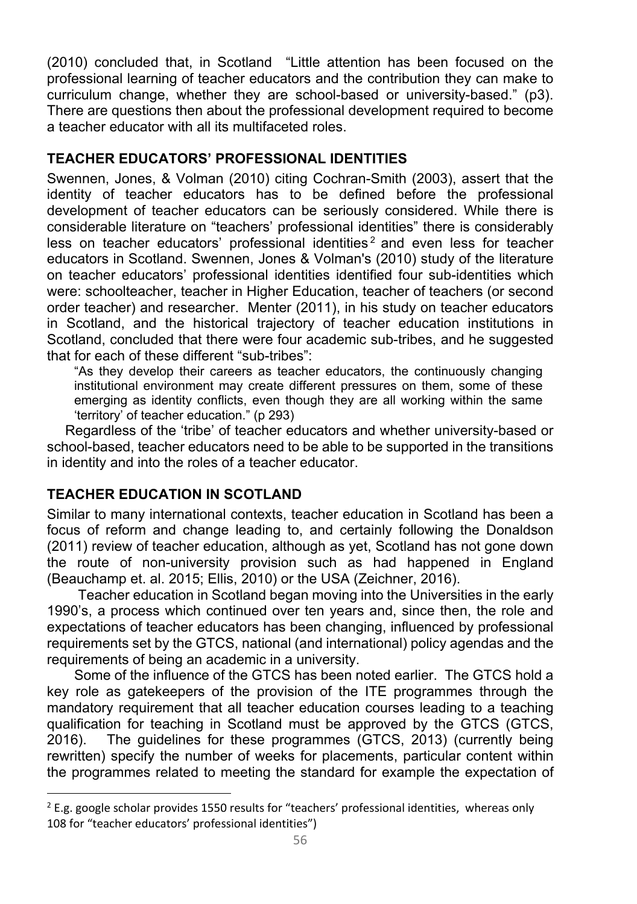(2010) concluded that, in Scotland "Little attention has been focused on the professional learning of teacher educators and the contribution they can make to curriculum change, whether they are school-based or university-based." (p3). There are questions then about the professional development required to become a teacher educator with all its multifaceted roles.

### **TEACHER EDUCATORS' PROFESSIONAL IDENTITIES**

Swennen, Jones, & Volman (2010) citing Cochran-Smith (2003), assert that the identity of teacher educators has to be defined before the professional development of teacher educators can be seriously considered. While there is considerable literature on "teachers' professional identities" there is considerably less on teacher educators' professional identities<sup>2</sup> and even less for teacher educators in Scotland. Swennen, Jones & Volman's (2010) study of the literature on teacher educators' professional identities identified four sub-identities which were: schoolteacher, teacher in Higher Education, teacher of teachers (or second order teacher) and researcher. Menter (2011), in his study on teacher educators in Scotland, and the historical trajectory of teacher education institutions in Scotland, concluded that there were four academic sub-tribes, and he suggested that for each of these different "sub-tribes":

"As they develop their careers as teacher educators, the continuously changing institutional environment may create different pressures on them, some of these emerging as identity conflicts, even though they are all working within the same 'territory' of teacher education." (p 293)

Regardless of the 'tribe' of teacher educators and whether university-based or school-based, teacher educators need to be able to be supported in the transitions in identity and into the roles of a teacher educator.

## **TEACHER EDUCATION IN SCOTLAND**

 $\overline{\phantom{a}}$ 

Similar to many international contexts, teacher education in Scotland has been a focus of reform and change leading to, and certainly following the Donaldson (2011) review of teacher education, although as yet, Scotland has not gone down the route of non-university provision such as had happened in England (Beauchamp et. al. 2015; Ellis, 2010) or the USA (Zeichner, 2016).

 Teacher education in Scotland began moving into the Universities in the early 1990's, a process which continued over ten years and, since then, the role and expectations of teacher educators has been changing, influenced by professional requirements set by the GTCS, national (and international) policy agendas and the requirements of being an academic in a university.

Some of the influence of the GTCS has been noted earlier. The GTCS hold a key role as gatekeepers of the provision of the ITE programmes through the mandatory requirement that all teacher education courses leading to a teaching qualification for teaching in Scotland must be approved by the GTCS (GTCS, 2016). The guidelines for these programmes (GTCS, 2013) (currently being rewritten) specify the number of weeks for placements, particular content within the programmes related to meeting the standard for example the expectation of

 $2$  E.g. google scholar provides 1550 results for "teachers' professional identities, whereas only 108 for "teacher educators' professional identities")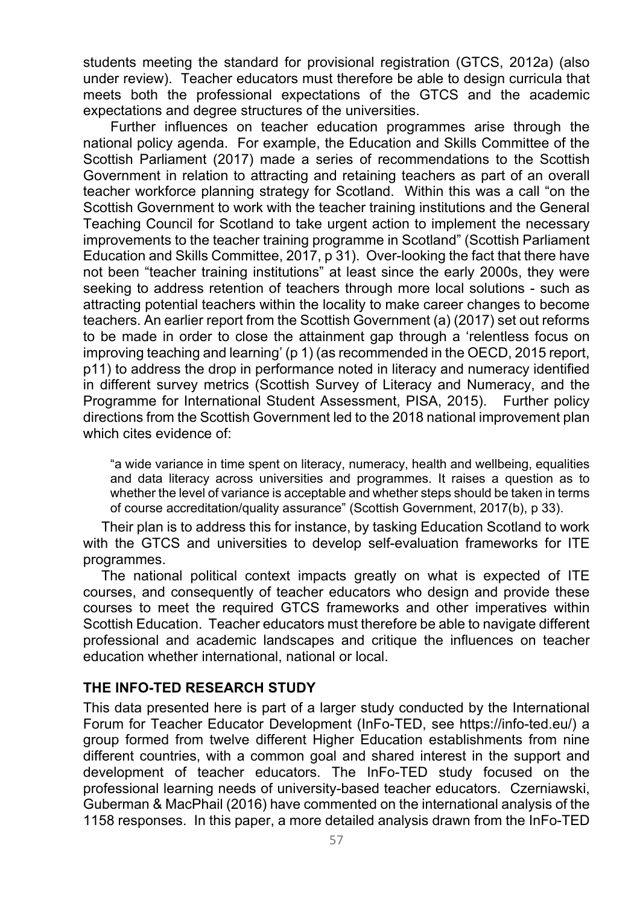students meeting the standard for provisional registration (GTCS, 2012a) (also under review). Teacher educators must therefore be able to design curricula that meets both the professional expectations of the GTCS and the academic expectations and degree structures of the universities.

Further influences on teacher education programmes arise through the national policy agenda. For example, the Education and Skills Committee of the Scottish Parliament (2017) made a series of recommendations to the Scottish Government in relation to attracting and retaining teachers as part of an overall teacher workforce planning strategy for Scotland. Within this was a call "on the Scottish Government to work with the teacher training institutions and the General Teaching Council for Scotland to take urgent action to implement the necessary improvements to the teacher training programme in Scotland" (Scottish Parliament Education and Skills Committee, 2017, p 31). Over-looking the fact that there have not been "teacher training institutions" at least since the early 2000s, they were seeking to address retention of teachers through more local solutions - such as attracting potential teachers within the locality to make career changes to become teachers. An earlier report from the Scottish Government (a) (2017) set out reforms to be made in order to close the attainment gap through a 'relentless focus on improving teaching and learning' (p 1) (as recommended in the OECD, 2015 report, p11) to address the drop in performance noted in literacy and numeracy identified in different survey metrics (Scottish Survey of Literacy and Numeracy, and the Programme for International Student Assessment, PISA, 2015). Further policy directions from the Scottish Government led to the 2018 national improvement plan which cites evidence of:

"a wide variance in time spent on literacy, numeracy, health and wellbeing, equalities and data literacy across universities and programmes. It raises a question as to whether the level of variance is acceptable and whether steps should be taken in terms of course accreditation/quality assurance" (Scottish Government, 2017(b), p 33).

Their plan is to address this for instance, by tasking Education Scotland to work with the GTCS and universities to develop self-evaluation frameworks for ITE programmes.

The national political context impacts greatly on what is expected of ITE courses, and consequently of teacher educators who design and provide these courses to meet the required GTCS frameworks and other imperatives within Scottish Education. Teacher educators must therefore be able to navigate different professional and academic landscapes and critique the influences on teacher education whether international, national or local.

### **THE INFO-TED RESEARCH STUDY**

This data presented here is part of a larger study conducted by the International Forum for Teacher Educator Development (InFo-TED, see https://info-ted.eu/) a group formed from twelve different Higher Education establishments from nine different countries, with a common goal and shared interest in the support and development of teacher educators. The InFo-TED study focused on the professional learning needs of university-based teacher educators. Czerniawski, Guberman & MacPhail (2016) have commented on the international analysis of the 1158 responses. In this paper, a more detailed analysis drawn from the InFo-TED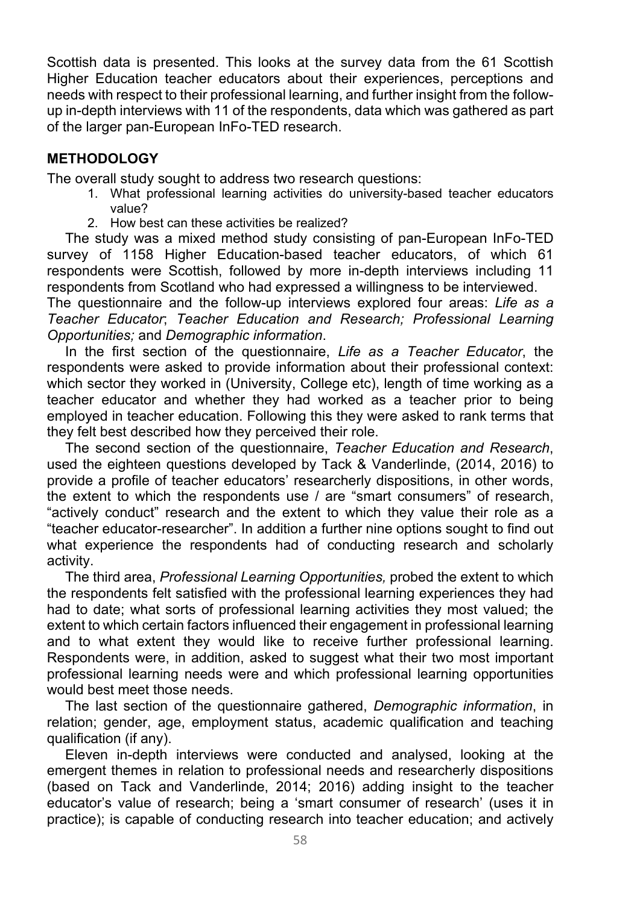Scottish data is presented. This looks at the survey data from the 61 Scottish Higher Education teacher educators about their experiences, perceptions and needs with respect to their professional learning, and further insight from the followup in-depth interviews with 11 of the respondents, data which was gathered as part of the larger pan-European InFo-TED research.

### **METHODOLOGY**

The overall study sought to address two research questions:

- 1. What professional learning activities do university-based teacher educators value?
- 2. How best can these activities be realized?

The study was a mixed method study consisting of pan-European InFo-TED survey of 1158 Higher Education-based teacher educators, of which 61 respondents were Scottish, followed by more in-depth interviews including 11 respondents from Scotland who had expressed a willingness to be interviewed.

The questionnaire and the follow-up interviews explored four areas: *Life as a Teacher Educator*; *Teacher Education and Research; Professional Learning Opportunities;* and *Demographic information*.

In the first section of the questionnaire, *Life as a Teacher Educator*, the respondents were asked to provide information about their professional context: which sector they worked in (University, College etc), length of time working as a teacher educator and whether they had worked as a teacher prior to being employed in teacher education. Following this they were asked to rank terms that they felt best described how they perceived their role.

The second section of the questionnaire, *Teacher Education and Research*, used the eighteen questions developed by Tack & Vanderlinde, (2014, 2016) to provide a profile of teacher educators' researcherly dispositions, in other words, the extent to which the respondents use / are "smart consumers" of research, "actively conduct" research and the extent to which they value their role as a "teacher educator-researcher". In addition a further nine options sought to find out what experience the respondents had of conducting research and scholarly activity.

The third area, *Professional Learning Opportunities,* probed the extent to which the respondents felt satisfied with the professional learning experiences they had had to date; what sorts of professional learning activities they most valued; the extent to which certain factors influenced their engagement in professional learning and to what extent they would like to receive further professional learning. Respondents were, in addition, asked to suggest what their two most important professional learning needs were and which professional learning opportunities would best meet those needs.

The last section of the questionnaire gathered, *Demographic information*, in relation; gender, age, employment status, academic qualification and teaching qualification (if any).

Eleven in-depth interviews were conducted and analysed, looking at the emergent themes in relation to professional needs and researcherly dispositions (based on Tack and Vanderlinde, 2014; 2016) adding insight to the teacher educator's value of research; being a 'smart consumer of research' (uses it in practice); is capable of conducting research into teacher education; and actively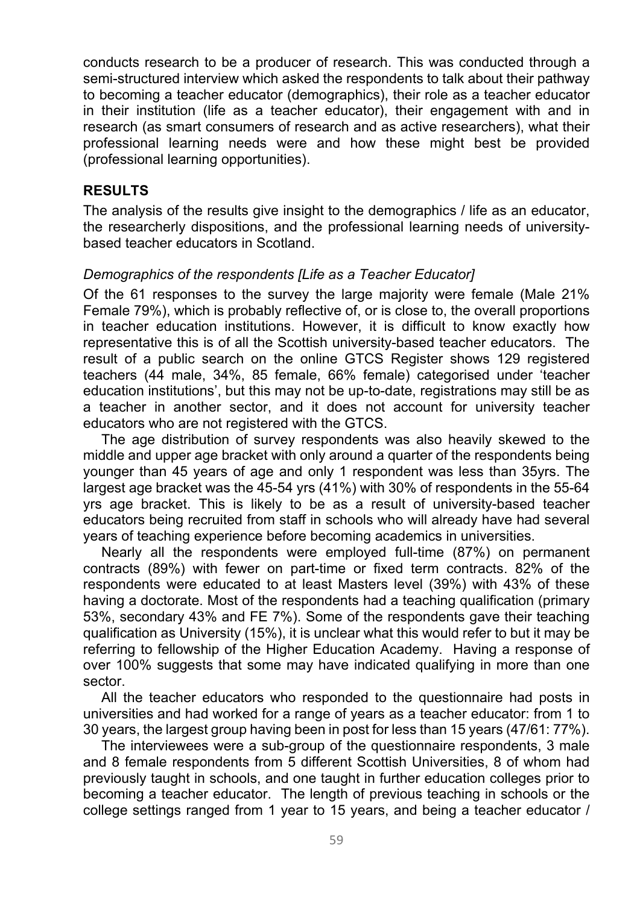conducts research to be a producer of research. This was conducted through a semi-structured interview which asked the respondents to talk about their pathway to becoming a teacher educator (demographics), their role as a teacher educator in their institution (life as a teacher educator), their engagement with and in research (as smart consumers of research and as active researchers), what their professional learning needs were and how these might best be provided (professional learning opportunities).

#### **RESULTS**

The analysis of the results give insight to the demographics / life as an educator, the researcherly dispositions, and the professional learning needs of universitybased teacher educators in Scotland.

#### *Demographics of the respondents [Life as a Teacher Educator]*

Of the 61 responses to the survey the large majority were female (Male 21% Female 79%), which is probably reflective of, or is close to, the overall proportions in teacher education institutions. However, it is difficult to know exactly how representative this is of all the Scottish university-based teacher educators. The result of a public search on the online GTCS Register shows 129 registered teachers (44 male, 34%, 85 female, 66% female) categorised under 'teacher education institutions', but this may not be up-to-date, registrations may still be as a teacher in another sector, and it does not account for university teacher educators who are not registered with the GTCS.

The age distribution of survey respondents was also heavily skewed to the middle and upper age bracket with only around a quarter of the respondents being younger than 45 years of age and only 1 respondent was less than 35yrs. The largest age bracket was the 45-54 yrs (41%) with 30% of respondents in the 55-64 yrs age bracket. This is likely to be as a result of university-based teacher educators being recruited from staff in schools who will already have had several years of teaching experience before becoming academics in universities.

Nearly all the respondents were employed full-time (87%) on permanent contracts (89%) with fewer on part-time or fixed term contracts. 82% of the respondents were educated to at least Masters level (39%) with 43% of these having a doctorate. Most of the respondents had a teaching qualification (primary 53%, secondary 43% and FE 7%). Some of the respondents gave their teaching qualification as University (15%), it is unclear what this would refer to but it may be referring to fellowship of the Higher Education Academy. Having a response of over 100% suggests that some may have indicated qualifying in more than one sector.

All the teacher educators who responded to the questionnaire had posts in universities and had worked for a range of years as a teacher educator: from 1 to 30 years, the largest group having been in post for less than 15 years (47/61: 77%).

The interviewees were a sub-group of the questionnaire respondents, 3 male and 8 female respondents from 5 different Scottish Universities, 8 of whom had previously taught in schools, and one taught in further education colleges prior to becoming a teacher educator. The length of previous teaching in schools or the college settings ranged from 1 year to 15 years, and being a teacher educator /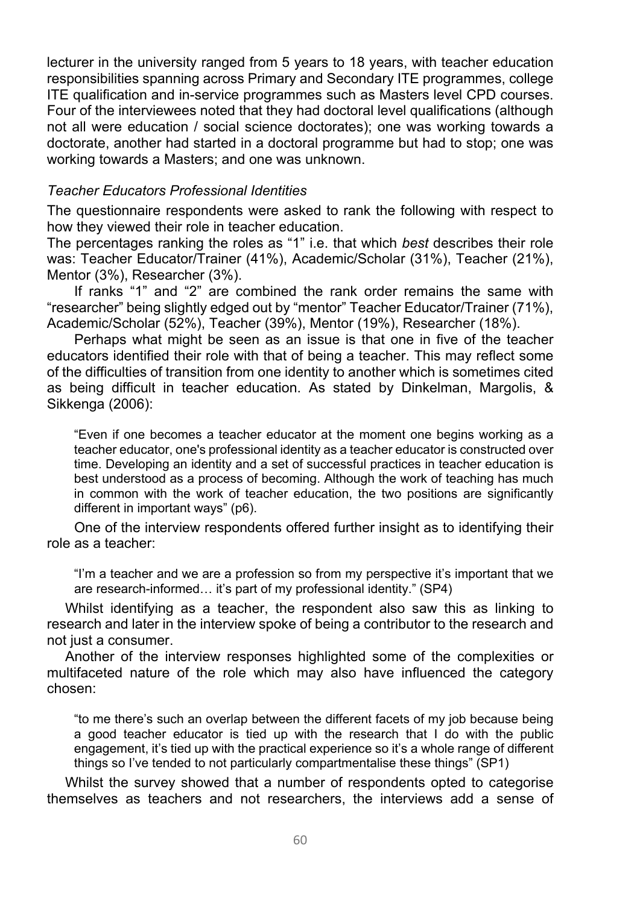lecturer in the university ranged from 5 years to 18 years, with teacher education responsibilities spanning across Primary and Secondary ITE programmes, college ITE qualification and in-service programmes such as Masters level CPD courses. Four of the interviewees noted that they had doctoral level qualifications (although not all were education / social science doctorates); one was working towards a doctorate, another had started in a doctoral programme but had to stop; one was working towards a Masters; and one was unknown.

#### *Teacher Educators Professional Identities*

The questionnaire respondents were asked to rank the following with respect to how they viewed their role in teacher education.

The percentages ranking the roles as "1" i.e. that which *best* describes their role was: Teacher Educator/Trainer (41%), Academic/Scholar (31%), Teacher (21%), Mentor (3%), Researcher (3%).

If ranks "1" and "2" are combined the rank order remains the same with "researcher" being slightly edged out by "mentor" Teacher Educator/Trainer (71%), Academic/Scholar (52%), Teacher (39%), Mentor (19%), Researcher (18%).

Perhaps what might be seen as an issue is that one in five of the teacher educators identified their role with that of being a teacher. This may reflect some of the difficulties of transition from one identity to another which is sometimes cited as being difficult in teacher education. As stated by Dinkelman, Margolis, & Sikkenga (2006):

"Even if one becomes a teacher educator at the moment one begins working as a teacher educator, one's professional identity as a teacher educator is constructed over time. Developing an identity and a set of successful practices in teacher education is best understood as a process of becoming. Although the work of teaching has much in common with the work of teacher education, the two positions are significantly different in important ways" (p6).

One of the interview respondents offered further insight as to identifying their role as a teacher:

"I'm a teacher and we are a profession so from my perspective it's important that we are research-informed… it's part of my professional identity." (SP4)

Whilst identifying as a teacher, the respondent also saw this as linking to research and later in the interview spoke of being a contributor to the research and not just a consumer.

Another of the interview responses highlighted some of the complexities or multifaceted nature of the role which may also have influenced the category chosen:

"to me there's such an overlap between the different facets of my job because being a good teacher educator is tied up with the research that I do with the public engagement, it's tied up with the practical experience so it's a whole range of different things so I've tended to not particularly compartmentalise these things" (SP1)

Whilst the survey showed that a number of respondents opted to categorise themselves as teachers and not researchers, the interviews add a sense of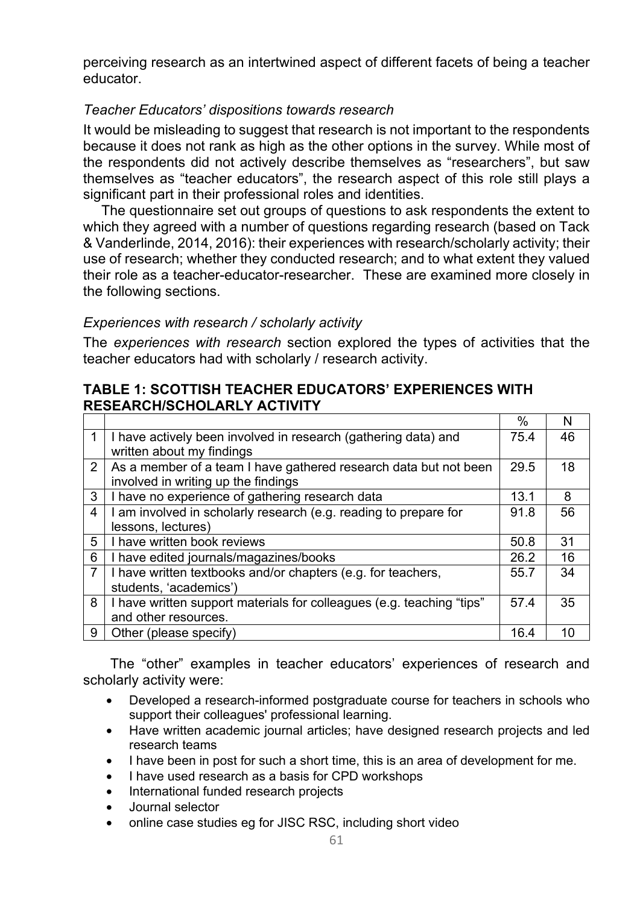perceiving research as an intertwined aspect of different facets of being a teacher educator.

### *Teacher Educators' dispositions towards research*

It would be misleading to suggest that research is not important to the respondents because it does not rank as high as the other options in the survey. While most of the respondents did not actively describe themselves as "researchers", but saw themselves as "teacher educators", the research aspect of this role still plays a significant part in their professional roles and identities.

The questionnaire set out groups of questions to ask respondents the extent to which they agreed with a number of questions regarding research (based on Tack & Vanderlinde, 2014, 2016): their experiences with research/scholarly activity; their use of research; whether they conducted research; and to what extent they valued their role as a teacher-educator-researcher. These are examined more closely in the following sections.

#### *Experiences with research / scholarly activity*

The *experiences with research* section explored the types of activities that the teacher educators had with scholarly / research activity.

#### **TABLE 1: SCOTTISH TEACHER EDUCATORS' EXPERIENCES WITH RESEARCH/SCHOLARLY ACTIVITY**

|                |                                                                       | $\%$ | N  |
|----------------|-----------------------------------------------------------------------|------|----|
|                | I have actively been involved in research (gathering data) and        | 75.4 | 46 |
|                | written about my findings                                             |      |    |
| $\overline{2}$ | As a member of a team I have gathered research data but not been      | 29.5 | 18 |
|                | involved in writing up the findings                                   |      |    |
| 3              | I have no experience of gathering research data                       | 13.1 | 8  |
| 4              | I am involved in scholarly research (e.g. reading to prepare for      | 91.8 | 56 |
|                | lessons, lectures)                                                    |      |    |
| 5              | I have written book reviews                                           | 50.8 | 31 |
| 6              | I have edited journals/magazines/books                                | 26.2 | 16 |
|                | I have written textbooks and/or chapters (e.g. for teachers,          | 55.7 | 34 |
|                | students, 'academics')                                                |      |    |
| 8              | I have written support materials for colleagues (e.g. teaching "tips" | 57.4 | 35 |
|                | and other resources.                                                  |      |    |
| 9              | Other (please specify)                                                | 16.4 | 10 |

The "other" examples in teacher educators' experiences of research and scholarly activity were:

- Developed a research-informed postgraduate course for teachers in schools who support their colleagues' professional learning.
- Have written academic journal articles; have designed research projects and led research teams
- I have been in post for such a short time, this is an area of development for me.
- I have used research as a basis for CPD workshops
- International funded research projects
- Journal selector
- online case studies eg for JISC RSC, including short video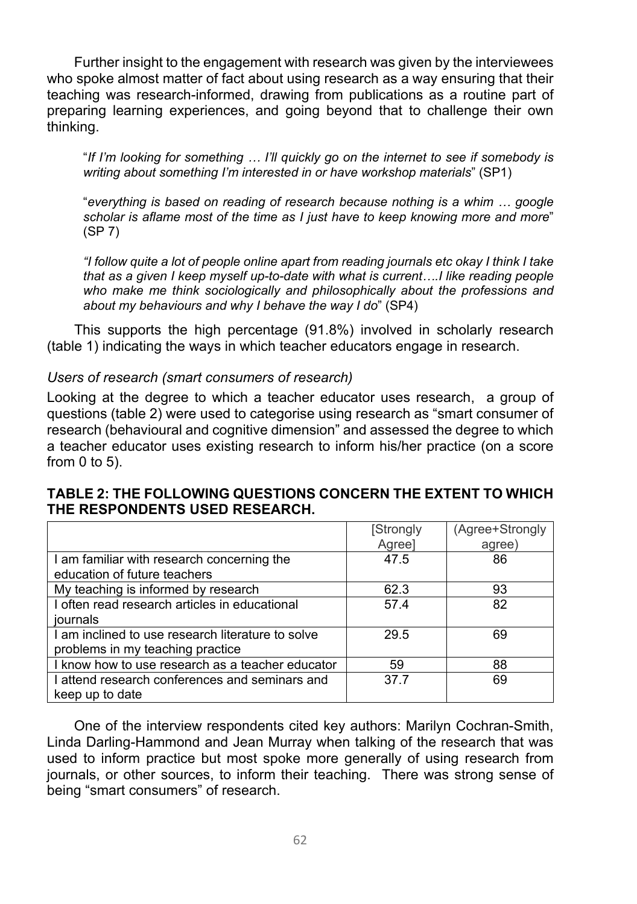Further insight to the engagement with research was given by the interviewees who spoke almost matter of fact about using research as a way ensuring that their teaching was research-informed, drawing from publications as a routine part of preparing learning experiences, and going beyond that to challenge their own thinking.

"*If I'm looking for something … I'll quickly go on the internet to see if somebody is writing about something I'm interested in or have workshop materials*" (SP1)

"*everything is based on reading of research because nothing is a whim … google scholar is aflame most of the time as I just have to keep knowing more and more*" (SP 7)

*"I follow quite a lot of people online apart from reading journals etc okay I think I take that as a given I keep myself up-to-date with what is current….I like reading people who make me think sociologically and philosophically about the professions and about my behaviours and why I behave the way I do*" (SP4)

This supports the high percentage (91.8%) involved in scholarly research (table 1) indicating the ways in which teacher educators engage in research.

#### *Users of research (smart consumers of research)*

Looking at the degree to which a teacher educator uses research, a group of questions (table 2) were used to categorise using research as "smart consumer of research (behavioural and cognitive dimension" and assessed the degree to which a teacher educator uses existing research to inform his/her practice (on a score from 0 to 5).

#### **TABLE 2: THE FOLLOWING QUESTIONS CONCERN THE EXTENT TO WHICH THE RESPONDENTS USED RESEARCH.**

|                                                                                       | [Strongly<br>Agree] | (Agree+Strongly<br>agree) |
|---------------------------------------------------------------------------------------|---------------------|---------------------------|
| I am familiar with research concerning the<br>education of future teachers            | 47.5                | 86                        |
| My teaching is informed by research                                                   | 62.3                | 93                        |
| I often read research articles in educational<br>journals                             | 57.4                | 82                        |
| I am inclined to use research literature to solve<br>problems in my teaching practice | 29.5                | 69                        |
| I know how to use research as a teacher educator                                      | 59                  | 88                        |
| I attend research conferences and seminars and<br>keep up to date                     | 37.7                | 69                        |

One of the interview respondents cited key authors: Marilyn Cochran-Smith, Linda Darling-Hammond and Jean Murray when talking of the research that was used to inform practice but most spoke more generally of using research from journals, or other sources, to inform their teaching. There was strong sense of being "smart consumers" of research.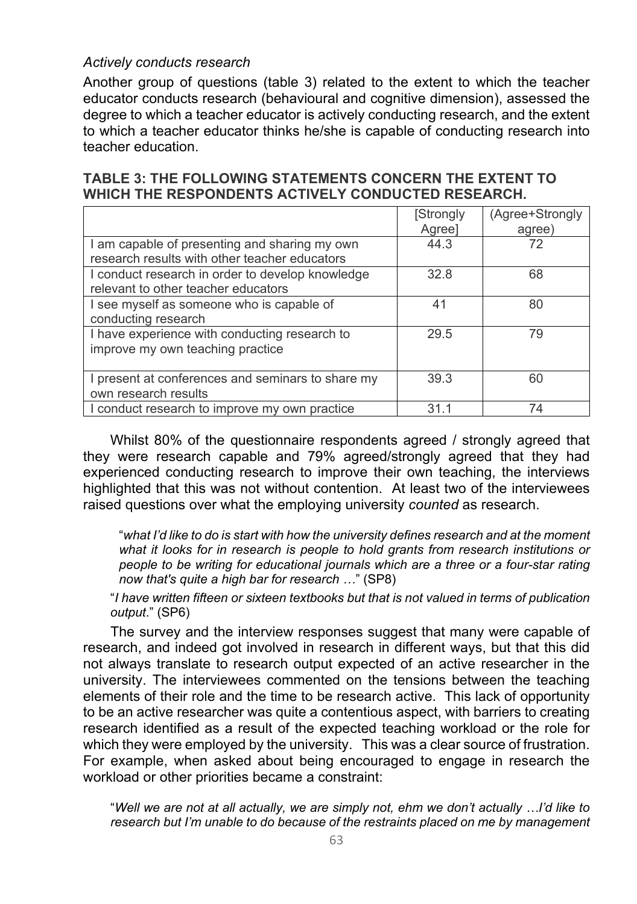#### *Actively conducts research*

Another group of questions (table 3) related to the extent to which the teacher educator conducts research (behavioural and cognitive dimension), assessed the degree to which a teacher educator is actively conducting research, and the extent to which a teacher educator thinks he/she is capable of conducting research into teacher education.

#### **TABLE 3: THE FOLLOWING STATEMENTS CONCERN THE EXTENT TO WHICH THE RESPONDENTS ACTIVELY CONDUCTED RESEARCH.**

|                                                   | [Strongly | (Agree+Strongly |
|---------------------------------------------------|-----------|-----------------|
|                                                   | Agree]    | agree)          |
| I am capable of presenting and sharing my own     | 44.3      | 72              |
| research results with other teacher educators     |           |                 |
| I conduct research in order to develop knowledge  | 32.8      | 68              |
| relevant to other teacher educators               |           |                 |
| I see myself as someone who is capable of         | 41        | 80              |
| conducting research                               |           |                 |
| I have experience with conducting research to     | 29.5      | 79              |
| improve my own teaching practice                  |           |                 |
|                                                   |           |                 |
| I present at conferences and seminars to share my | 39.3      | 60              |
| own research results                              |           |                 |
| I conduct research to improve my own practice     | 31 1      | 74              |

Whilst 80% of the questionnaire respondents agreed / strongly agreed that they were research capable and 79% agreed/strongly agreed that they had experienced conducting research to improve their own teaching, the interviews highlighted that this was not without contention. At least two of the interviewees raised questions over what the employing university *counted* as research.

"*what I'd like to do is start with how the university defines research and at the moment what it looks for in research is people to hold grants from research institutions or people to be writing for educational journals which are a three or a four-star rating now that's quite a high bar for research …*" (SP8)

"*I have written fifteen or sixteen textbooks but that is not valued in terms of publication output*." (SP6)

The survey and the interview responses suggest that many were capable of research, and indeed got involved in research in different ways, but that this did not always translate to research output expected of an active researcher in the university. The interviewees commented on the tensions between the teaching elements of their role and the time to be research active. This lack of opportunity to be an active researcher was quite a contentious aspect, with barriers to creating research identified as a result of the expected teaching workload or the role for which they were employed by the university. This was a clear source of frustration. For example, when asked about being encouraged to engage in research the workload or other priorities became a constraint:

"*Well we are not at all actually, we are simply not, ehm we don't actually …I'd like to research but I'm unable to do because of the restraints placed on me by management*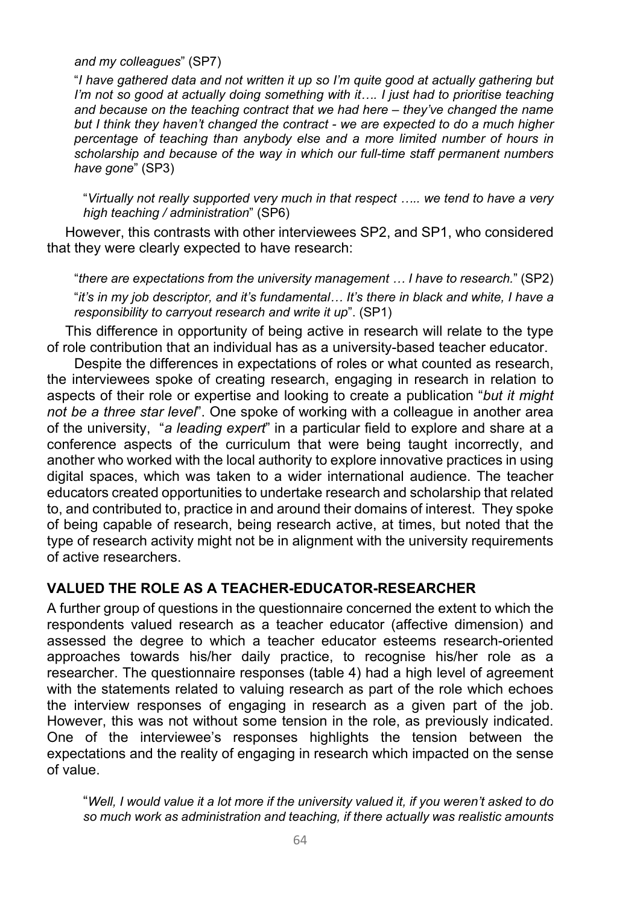#### *and my colleagues*" (SP7)

"*I have gathered data and not written it up so I'm quite good at actually gathering but I'm not so good at actually doing something with it…. I just had to prioritise teaching and because on the teaching contract that we had here – they've changed the name but I think they haven't changed the contract - we are expected to do a much higher percentage of teaching than anybody else and a more limited number of hours in scholarship and because of the way in which our full-time staff permanent numbers have gone*" (SP3)

"*Virtually not really supported very much in that respect ….. we tend to have a very high teaching / administration*" (SP6)

However, this contrasts with other interviewees SP2, and SP1, who considered that they were clearly expected to have research:

"*there are expectations from the university management … I have to research.*" (SP2) "*it's in my job descriptor, and it's fundamental… It's there in black and white, I have a responsibility to carryout research and write it up*". (SP1)

This difference in opportunity of being active in research will relate to the type of role contribution that an individual has as a university-based teacher educator.

Despite the differences in expectations of roles or what counted as research, the interviewees spoke of creating research, engaging in research in relation to aspects of their role or expertise and looking to create a publication "*but it might not be a three star level*". One spoke of working with a colleague in another area of the university, "*a leading expert*" in a particular field to explore and share at a conference aspects of the curriculum that were being taught incorrectly, and another who worked with the local authority to explore innovative practices in using digital spaces, which was taken to a wider international audience. The teacher educators created opportunities to undertake research and scholarship that related to, and contributed to, practice in and around their domains of interest. They spoke of being capable of research, being research active, at times, but noted that the type of research activity might not be in alignment with the university requirements of active researchers.

### **VALUED THE ROLE AS A TEACHER-EDUCATOR-RESEARCHER**

A further group of questions in the questionnaire concerned the extent to which the respondents valued research as a teacher educator (affective dimension) and assessed the degree to which a teacher educator esteems research-oriented approaches towards his/her daily practice, to recognise his/her role as a researcher. The questionnaire responses (table 4) had a high level of agreement with the statements related to valuing research as part of the role which echoes the interview responses of engaging in research as a given part of the job. However, this was not without some tension in the role, as previously indicated. One of the interviewee's responses highlights the tension between the expectations and the reality of engaging in research which impacted on the sense of value.

"*Well, I would value it a lot more if the university valued it, if you weren't asked to do so much work as administration and teaching, if there actually was realistic amounts*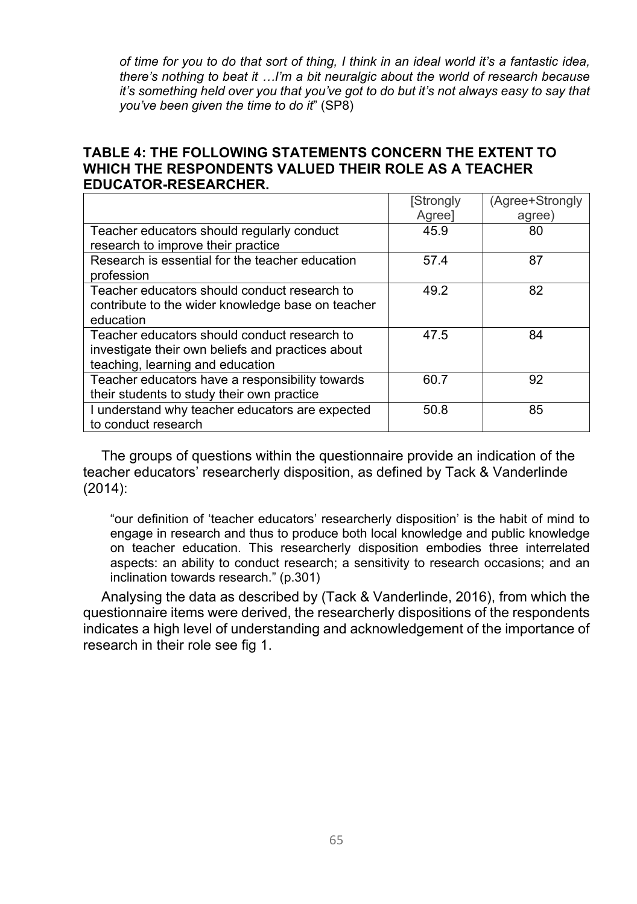*of time for you to do that sort of thing, I think in an ideal world it's a fantastic idea, there's nothing to beat it …I'm a bit neuralgic about the world of research because it's something held over you that you've got to do but it's not always easy to say that you've been given the time to do it*" (SP8)

#### **TABLE 4: THE FOLLOWING STATEMENTS CONCERN THE EXTENT TO WHICH THE RESPONDENTS VALUED THEIR ROLE AS A TEACHER EDUCATOR-RESEARCHER.**

|                                                   | [Strongly | (Agree+Strongly |
|---------------------------------------------------|-----------|-----------------|
|                                                   | Agree]    | agree)          |
| Teacher educators should regularly conduct        | 45.9      | 80              |
| research to improve their practice                |           |                 |
| Research is essential for the teacher education   | 57.4      | 87              |
| profession                                        |           |                 |
| Teacher educators should conduct research to      | 49.2      | 82              |
| contribute to the wider knowledge base on teacher |           |                 |
| education                                         |           |                 |
| Teacher educators should conduct research to      | 47.5      | 84              |
| investigate their own beliefs and practices about |           |                 |
| teaching, learning and education                  |           |                 |
| Teacher educators have a responsibility towards   | 60.7      | 92              |
| their students to study their own practice        |           |                 |
| I understand why teacher educators are expected   | 50.8      | 85              |
| to conduct research                               |           |                 |

The groups of questions within the questionnaire provide an indication of the teacher educators' researcherly disposition, as defined by Tack & Vanderlinde (2014):

"our definition of 'teacher educators' researcherly disposition' is the habit of mind to engage in research and thus to produce both local knowledge and public knowledge on teacher education. This researcherly disposition embodies three interrelated aspects: an ability to conduct research; a sensitivity to research occasions; and an inclination towards research." (p.301)

Analysing the data as described by (Tack & Vanderlinde, 2016), from which the questionnaire items were derived, the researcherly dispositions of the respondents indicates a high level of understanding and acknowledgement of the importance of research in their role see fig 1.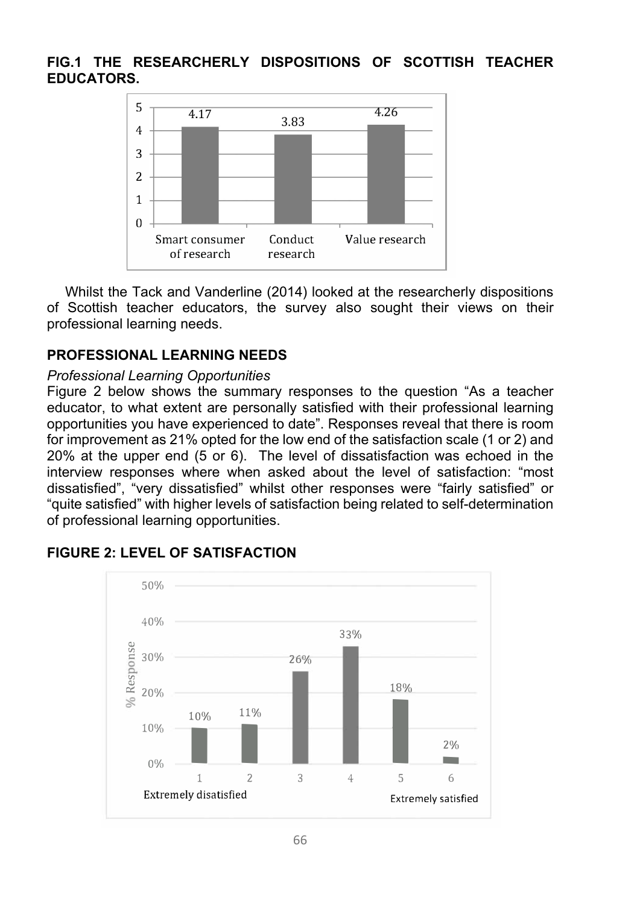### **FIG.1 THE RESEARCHERLY DISPOSITIONS OF SCOTTISH TEACHER EDUCATORS.**



Whilst the Tack and Vanderline (2014) looked at the researcherly dispositions of Scottish teacher educators, the survey also sought their views on their professional learning needs.

## **PROFESSIONAL LEARNING NEEDS**

### *Professional Learning Opportunities*

Figure 2 below shows the summary responses to the question "As a teacher educator, to what extent are personally satisfied with their professional learning opportunities you have experienced to date". Responses reveal that there is room for improvement as 21% opted for the low end of the satisfaction scale (1 or 2) and 20% at the upper end (5 or 6). The level of dissatisfaction was echoed in the interview responses where when asked about the level of satisfaction: "most dissatisfied", "very dissatisfied" whilst other responses were "fairly satisfied" or "quite satisfied" with higher levels of satisfaction being related to self-determination of professional learning opportunities.



## **FIGURE 2: LEVEL OF SATISFACTION**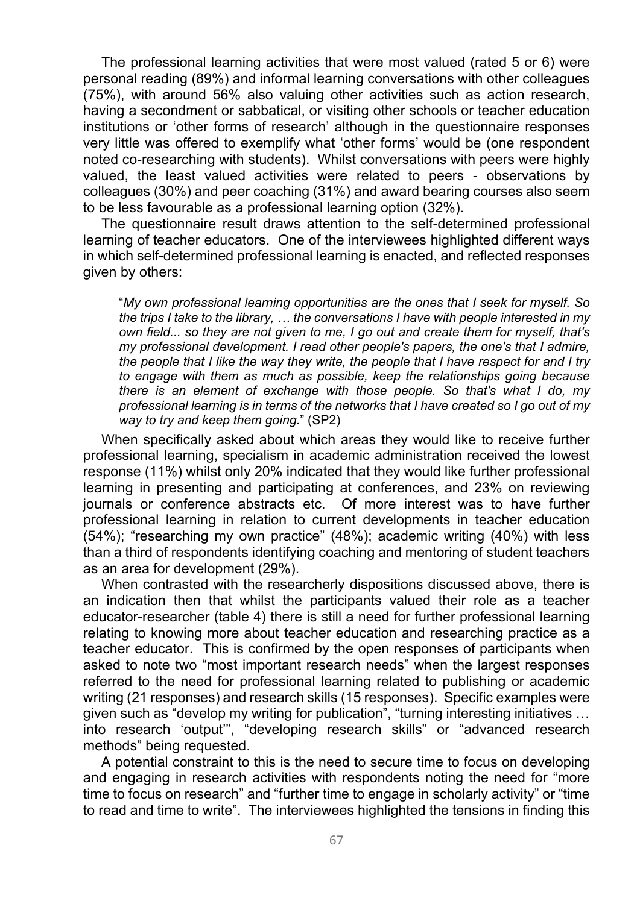The professional learning activities that were most valued (rated 5 or 6) were personal reading (89%) and informal learning conversations with other colleagues (75%), with around 56% also valuing other activities such as action research, having a secondment or sabbatical, or visiting other schools or teacher education institutions or 'other forms of research' although in the questionnaire responses very little was offered to exemplify what 'other forms' would be (one respondent noted co-researching with students). Whilst conversations with peers were highly valued, the least valued activities were related to peers - observations by colleagues (30%) and peer coaching (31%) and award bearing courses also seem to be less favourable as a professional learning option (32%).

The questionnaire result draws attention to the self-determined professional learning of teacher educators. One of the interviewees highlighted different ways in which self-determined professional learning is enacted, and reflected responses given by others:

"*My own professional learning opportunities are the ones that I seek for myself. So the trips I take to the library, … the conversations I have with people interested in my own field... so they are not given to me, I go out and create them for myself, that's my professional development. I read other people's papers, the one's that I admire, the people that I like the way they write, the people that I have respect for and I try to engage with them as much as possible, keep the relationships going because there is an element of exchange with those people. So that's what I do, my professional learning is in terms of the networks that I have created so I go out of my way to try and keep them going.*" (SP2)

When specifically asked about which areas they would like to receive further professional learning, specialism in academic administration received the lowest response (11%) whilst only 20% indicated that they would like further professional learning in presenting and participating at conferences, and 23% on reviewing journals or conference abstracts etc. Of more interest was to have further professional learning in relation to current developments in teacher education (54%); "researching my own practice" (48%); academic writing (40%) with less than a third of respondents identifying coaching and mentoring of student teachers as an area for development (29%).

When contrasted with the researcherly dispositions discussed above, there is an indication then that whilst the participants valued their role as a teacher educator-researcher (table 4) there is still a need for further professional learning relating to knowing more about teacher education and researching practice as a teacher educator. This is confirmed by the open responses of participants when asked to note two "most important research needs" when the largest responses referred to the need for professional learning related to publishing or academic writing (21 responses) and research skills (15 responses). Specific examples were given such as "develop my writing for publication", "turning interesting initiatives … into research 'output'", "developing research skills" or "advanced research methods" being requested.

A potential constraint to this is the need to secure time to focus on developing and engaging in research activities with respondents noting the need for "more time to focus on research" and "further time to engage in scholarly activity" or "time to read and time to write". The interviewees highlighted the tensions in finding this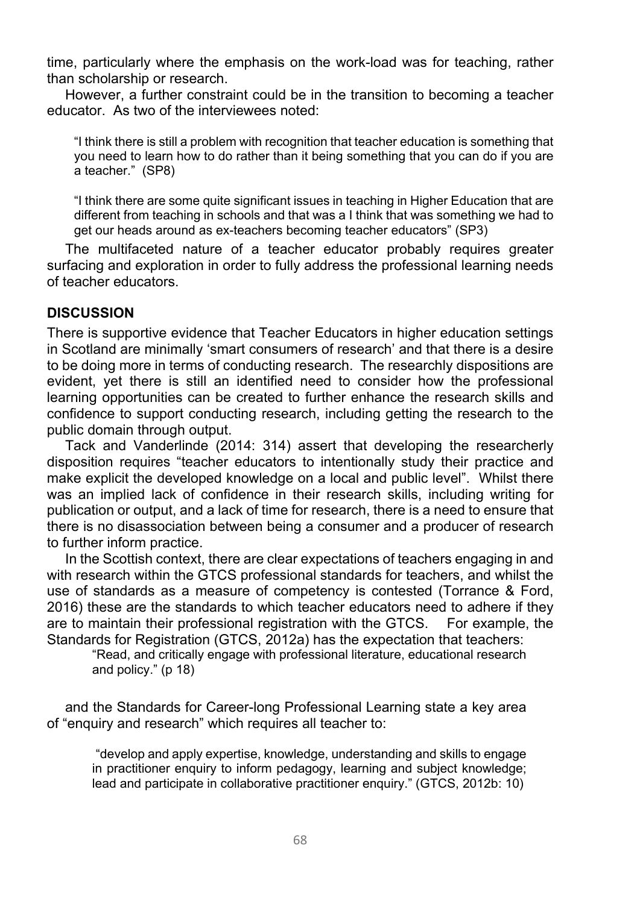time, particularly where the emphasis on the work-load was for teaching, rather than scholarship or research.

However, a further constraint could be in the transition to becoming a teacher educator. As two of the interviewees noted:

"I think there is still a problem with recognition that teacher education is something that you need to learn how to do rather than it being something that you can do if you are a teacher." (SP8)

"I think there are some quite significant issues in teaching in Higher Education that are different from teaching in schools and that was a I think that was something we had to get our heads around as ex-teachers becoming teacher educators" (SP3)

The multifaceted nature of a teacher educator probably requires greater surfacing and exploration in order to fully address the professional learning needs of teacher educators.

#### **DISCUSSION**

There is supportive evidence that Teacher Educators in higher education settings in Scotland are minimally 'smart consumers of research' and that there is a desire to be doing more in terms of conducting research. The researchly dispositions are evident, yet there is still an identified need to consider how the professional learning opportunities can be created to further enhance the research skills and confidence to support conducting research, including getting the research to the public domain through output.

Tack and Vanderlinde (2014: 314) assert that developing the researcherly disposition requires "teacher educators to intentionally study their practice and make explicit the developed knowledge on a local and public level". Whilst there was an implied lack of confidence in their research skills, including writing for publication or output, and a lack of time for research, there is a need to ensure that there is no disassociation between being a consumer and a producer of research to further inform practice.

In the Scottish context, there are clear expectations of teachers engaging in and with research within the GTCS professional standards for teachers, and whilst the use of standards as a measure of competency is contested (Torrance & Ford, 2016) these are the standards to which teacher educators need to adhere if they are to maintain their professional registration with the GTCS. For example, the Standards for Registration (GTCS, 2012a) has the expectation that teachers:

"Read, and critically engage with professional literature, educational research and policy." (p 18)

and the Standards for Career-long Professional Learning state a key area of "enquiry and research" which requires all teacher to:

 "develop and apply expertise, knowledge, understanding and skills to engage in practitioner enquiry to inform pedagogy, learning and subject knowledge; lead and participate in collaborative practitioner enquiry." (GTCS, 2012b: 10)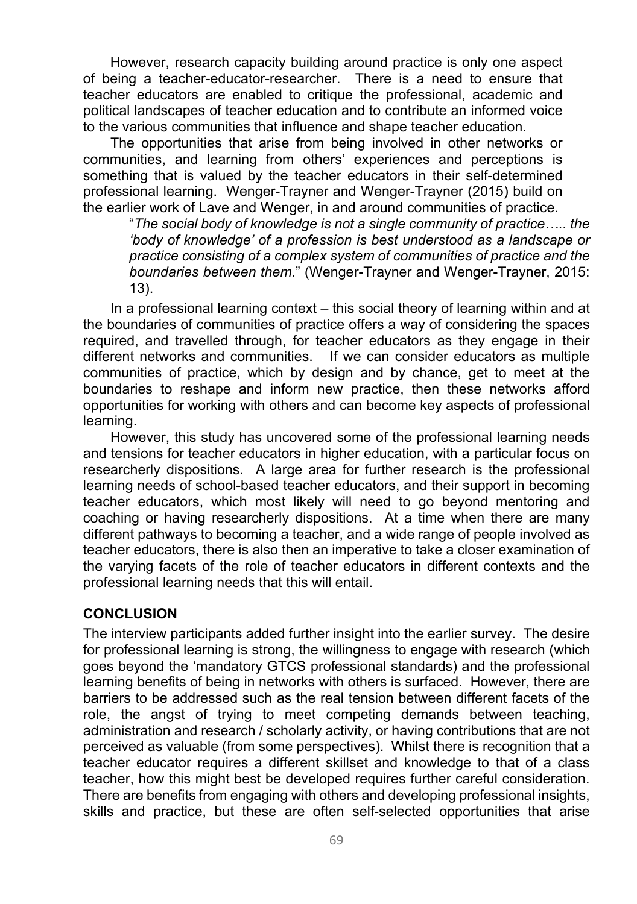However, research capacity building around practice is only one aspect of being a teacher-educator-researcher. There is a need to ensure that teacher educators are enabled to critique the professional, academic and political landscapes of teacher education and to contribute an informed voice to the various communities that influence and shape teacher education.

The opportunities that arise from being involved in other networks or communities, and learning from others' experiences and perceptions is something that is valued by the teacher educators in their self-determined professional learning. Wenger-Trayner and Wenger-Trayner (2015) build on the earlier work of Lave and Wenger, in and around communities of practice.

"*The social body of knowledge is not a single community of practice….. the 'body of knowledge' of a profession is best understood as a landscape or practice consisting of a complex system of communities of practice and the boundaries between them*." (Wenger-Trayner and Wenger-Trayner, 2015: 13).

In a professional learning context – this social theory of learning within and at the boundaries of communities of practice offers a way of considering the spaces required, and travelled through, for teacher educators as they engage in their different networks and communities. If we can consider educators as multiple communities of practice, which by design and by chance, get to meet at the boundaries to reshape and inform new practice, then these networks afford opportunities for working with others and can become key aspects of professional learning.

However, this study has uncovered some of the professional learning needs and tensions for teacher educators in higher education, with a particular focus on researcherly dispositions. A large area for further research is the professional learning needs of school-based teacher educators, and their support in becoming teacher educators, which most likely will need to go beyond mentoring and coaching or having researcherly dispositions. At a time when there are many different pathways to becoming a teacher, and a wide range of people involved as teacher educators, there is also then an imperative to take a closer examination of the varying facets of the role of teacher educators in different contexts and the professional learning needs that this will entail.

#### **CONCLUSION**

The interview participants added further insight into the earlier survey. The desire for professional learning is strong, the willingness to engage with research (which goes beyond the 'mandatory GTCS professional standards) and the professional learning benefits of being in networks with others is surfaced. However, there are barriers to be addressed such as the real tension between different facets of the role, the angst of trying to meet competing demands between teaching, administration and research / scholarly activity, or having contributions that are not perceived as valuable (from some perspectives). Whilst there is recognition that a teacher educator requires a different skillset and knowledge to that of a class teacher, how this might best be developed requires further careful consideration. There are benefits from engaging with others and developing professional insights, skills and practice, but these are often self-selected opportunities that arise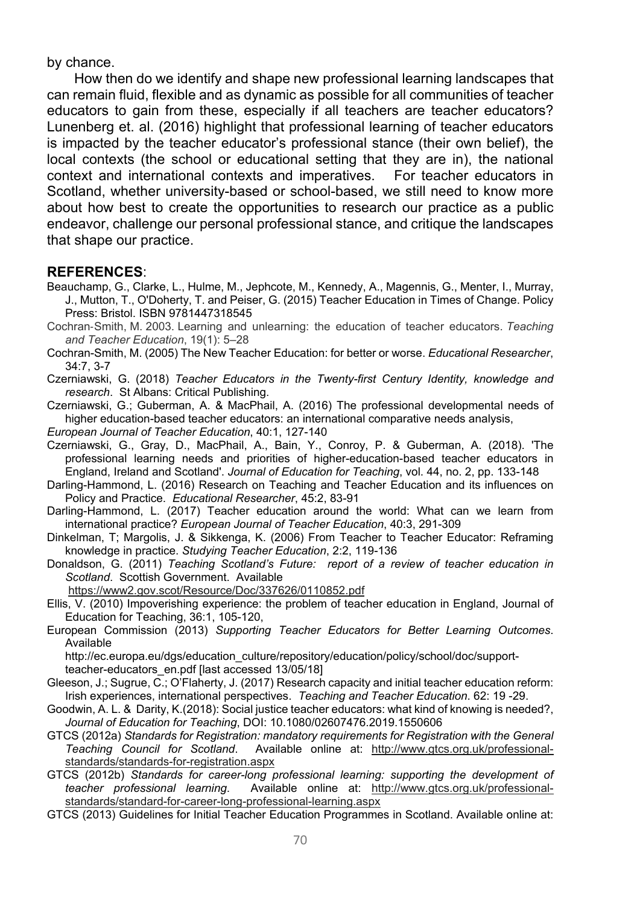by chance.

How then do we identify and shape new professional learning landscapes that can remain fluid, flexible and as dynamic as possible for all communities of teacher educators to gain from these, especially if all teachers are teacher educators? Lunenberg et. al. (2016) highlight that professional learning of teacher educators is impacted by the teacher educator's professional stance (their own belief), the local contexts (the school or educational setting that they are in), the national context and international contexts and imperatives. For teacher educators in Scotland, whether university-based or school-based, we still need to know more about how best to create the opportunities to research our practice as a public endeavor, challenge our personal professional stance, and critique the landscapes that shape our practice.

#### **REFERENCES**:

- Beauchamp, G., Clarke, L., Hulme, M., Jephcote, M., Kennedy, A., Magennis, G., Menter, I., Murray, J., Mutton, T., O'Doherty, T. and Peiser, G. (2015) Teacher Education in Times of Change. Policy Press: Bristol. ISBN 9781447318545
- Cochran‐Smith, M. 2003. Learning and unlearning: the education of teacher educators. *Teaching and Teacher Education*, 19(1): 5–28
- Cochran-Smith, M. (2005) The New Teacher Education: for better or worse. *Educational Researcher*, 34:7, 3-7
- Czerniawski, G. (2018) *Teacher Educators in the Twenty-first Century Identity, knowledge and research*. St Albans: Critical Publishing.

Czerniawski, G.; Guberman, A. & MacPhail, A. (2016) The professional developmental needs of higher education-based teacher educators: an international comparative needs analysis,

*European Journal of Teacher Education*, 40:1, 127-140

Czerniawski, G., Gray, D., MacPhail, A., Bain, Y., Conroy, P. & Guberman, A. (2018). 'The professional learning needs and priorities of higher-education-based teacher educators in England, Ireland and Scotland'. *Journal of Education for Teaching*, vol. 44, no. 2, pp. 133-148

Darling-Hammond, L. (2016) Research on Teaching and Teacher Education and its influences on Policy and Practice. *Educational Researcher*, 45:2, 83-91

Darling-Hammond, L. (2017) Teacher education around the world: What can we learn from international practice? *European Journal of Teacher Education*, 40:3, 291-309

- Dinkelman, T; Margolis, J. & Sikkenga, K. (2006) From Teacher to Teacher Educator: Reframing knowledge in practice. *Studying Teacher Education*, 2:2, 119-136
- Donaldson, G. (2011) *Teaching Scotland's Future: report of a review of teacher education in Scotland*. Scottish Government. Available
	- https://www2.gov.scot/Resource/Doc/337626/0110852.pdf
- Ellis, V. (2010) Impoverishing experience: the problem of teacher education in England, Journal of Education for Teaching, 36:1, 105-120,
- European Commission (2013) *Supporting Teacher Educators for Better Learning Outcomes*. Available

http://ec.europa.eu/dgs/education\_culture/repository/education/policy/school/doc/supportteacher-educators\_en.pdf [last accessed 13/05/18]

- Gleeson, J.; Sugrue, C.; O'Flaherty, J. (2017) Research capacity and initial teacher education reform: Irish experiences, international perspectives. *Teaching and Teacher Education*. 62: 19 -29.
- Goodwin, A. L. & Darity, K.(2018): Social justice teacher educators: what kind of knowing is needed?, *Journal of Education for Teaching*, DOI: 10.1080/02607476.2019.1550606
- GTCS (2012a) *Standards for Registration: mandatory requirements for Registration with the General Teaching Council for Scotland*. Available online at: http://www.gtcs.org.uk/professionalstandards/standards-for-registration.aspx
- GTCS (2012b) *Standards for career-long professional learning: supporting the development of teacher professional learning*. Available online at: http://www.gtcs.org.uk/professionalstandards/standard-for-career-long-professional-learning.aspx
- GTCS (2013) Guidelines for Initial Teacher Education Programmes in Scotland. Available online at: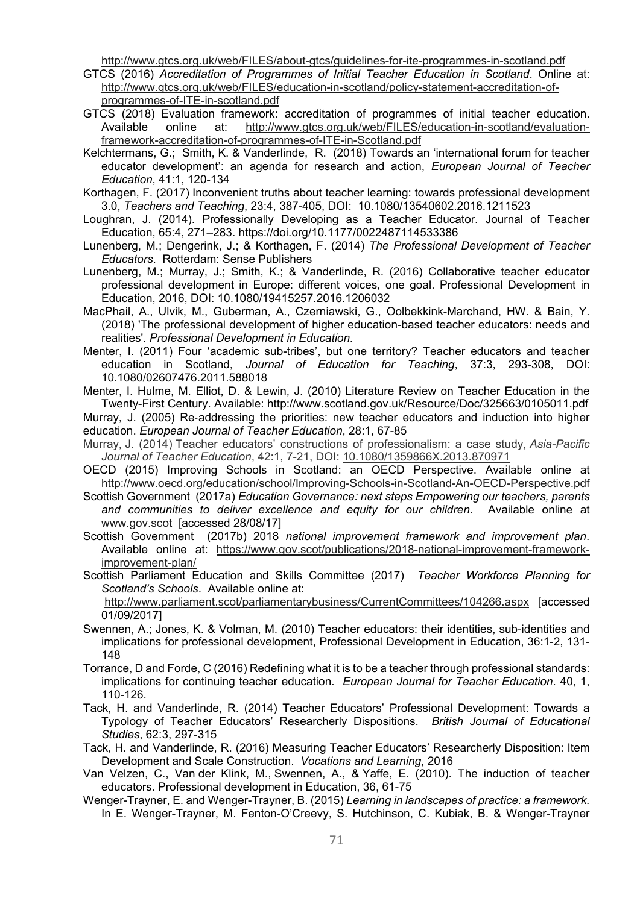http://www.gtcs.org.uk/web/FILES/about-gtcs/guidelines-for-ite-programmes-in-scotland.pdf

- GTCS (2016) *Accreditation of Programmes of Initial Teacher Education in Scotland*. Online at: http://www.gtcs.org.uk/web/FILES/education-in-scotland/policy-statement-accreditation-ofprogrammes-of-ITE-in-scotland.pdf
- GTCS (2018) Evaluation framework: accreditation of programmes of initial teacher education. Available online at: http://www.gtcs.org.uk/web/FILES/education-in-scotland/evaluationframework-accreditation-of-programmes-of-ITE-in-Scotland.pdf
- Kelchtermans, G.; Smith, K. & Vanderlinde, R. (2018) Towards an 'international forum for teacher educator development': an agenda for research and action, *European Journal of Teacher Education*, 41:1, 120-134
- Korthagen, F. (2017) Inconvenient truths about teacher learning: towards professional development 3.0, *Teachers and Teaching*, 23:4, 387-405, DOI: 10.1080/13540602.2016.1211523
- Loughran, J. (2014). Professionally Developing as a Teacher Educator. Journal of Teacher Education, 65:4, 271–283. https://doi.org/10.1177/0022487114533386
- Lunenberg, M.; Dengerink, J.; & Korthagen, F. (2014) *The Professional Development of Teacher Educators*. Rotterdam: Sense Publishers
- Lunenberg, M.; Murray, J.; Smith, K.; & Vanderlinde, R. (2016) Collaborative teacher educator professional development in Europe: different voices, one goal. Professional Development in Education, 2016, DOI: 10.1080/19415257.2016.1206032
- MacPhail, A., Ulvik, M., Guberman, A., Czerniawski, G., Oolbekkink-Marchand, HW. & Bain, Y. (2018) 'The professional development of higher education-based teacher educators: needs and realities'. *Professional Development in Education*.
- Menter, I. (2011) Four 'academic sub-tribes', but one territory? Teacher educators and teacher education in Scotland, *Journal of Education for Teaching*, 37:3, 293-308, DOI: 10.1080/02607476.2011.588018

Menter, I. Hulme, M. Elliot, D. & Lewin, J. (2010) Literature Review on Teacher Education in the Twenty-First Century. Available: http://www.scotland.gov.uk/Resource/Doc/325663/0105011.pdf

Murray, J. (2005) Re‐addressing the priorities: new teacher educators and induction into higher education. *European Journal of Teacher Education*, 28:1, 67-85

- Murray, J. (2014) Teacher educators' constructions of professionalism: a case study, *Asia-Pacific Journal of Teacher Education*, 42:1, 7-21, DOI: 10.1080/1359866X.2013.870971
- OECD (2015) Improving Schools in Scotland: an OECD Perspective. Available online at http://www.oecd.org/education/school/Improving-Schools-in-Scotland-An-OECD-Perspective.pdf
- Scottish Government (2017a) *Education Governance: next steps Empowering our teachers, parents and communities to deliver excellence and equity for our children*. Available online at www.gov.scot [accessed 28/08/17]
- Scottish Government (2017b) 2018 *national improvement framework and improvement plan*. Available online at: https://www.gov.scot/publications/2018-national-improvement-frameworkimprovement-plan/
- Scottish Parliament Education and Skills Committee (2017) *Teacher Workforce Planning for Scotland's Schools*. Available online at:

 http://www.parliament.scot/parliamentarybusiness/CurrentCommittees/104266.aspx [accessed 01/09/2017]

- Swennen, A.; Jones, K. & Volman, M. (2010) Teacher educators: their identities, sub‐identities and implications for professional development, Professional Development in Education, 36:1-2, 131- 148
- Torrance, D and Forde, C (2016) Redefining what it is to be a teacher through professional standards: implications for continuing teacher education. *European Journal for Teacher Education*. 40, 1, 110-126.
- Tack, H. and Vanderlinde, R. (2014) Teacher Educators' Professional Development: Towards a Typology of Teacher Educators' Researcherly Dispositions. *British Journal of Educational Studies*, 62:3, 297-315
- Tack, H. and Vanderlinde, R. (2016) Measuring Teacher Educators' Researcherly Disposition: Item Development and Scale Construction. *Vocations and Learning*, 2016
- Van Velzen, C., Van der Klink, M., Swennen, A., & Yaffe, E. (2010). The induction of teacher educators. Professional development in Education, 36, 61-75
- Wenger-Trayner, E. and Wenger-Trayner, B. (2015) *Learning in landscapes of practice: a framework*. In E. Wenger-Trayner, M. Fenton-O'Creevy, S. Hutchinson, C. Kubiak, B. & Wenger-Trayner